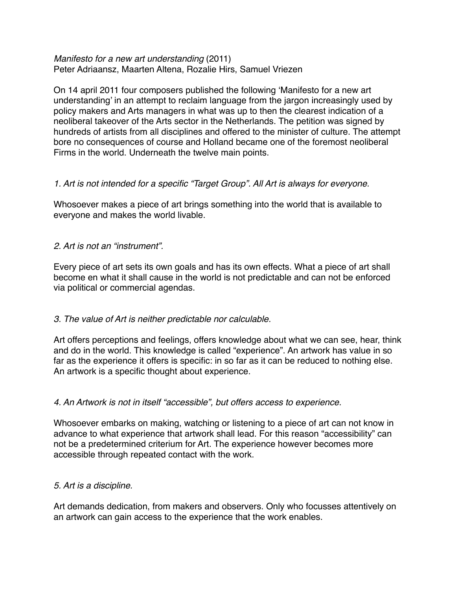### *Manifesto for a new art understanding* (2011) Peter Adriaansz, Maarten Altena, Rozalie Hirs, Samuel Vriezen

On 14 april 2011 four composers published the following 'Manifesto for a new art understanding' in an attempt to reclaim language from the jargon increasingly used by policy makers and Arts managers in what was up to then the clearest indication of a neoliberal takeover of the Arts sector in the Netherlands. The petition was signed by hundreds of artists from all disciplines and offered to the minister of culture. The attempt bore no consequences of course and Holland became one of the foremost neoliberal Firms in the world. Underneath the twelve main points.

# *1. Art is not intended for a specific "Target Group". All Art is always for everyone.*

Whosoever makes a piece of art brings something into the world that is available to everyone and makes the world livable.

# *2. Art is not an "instrument".*

Every piece of art sets its own goals and has its own effects. What a piece of art shall become en what it shall cause in the world is not predictable and can not be enforced via political or commercial agendas.

# *3. The value of Art is neither predictable nor calculable.*

Art offers perceptions and feelings, offers knowledge about what we can see, hear, think and do in the world. This knowledge is called "experience". An artwork has value in so far as the experience it offers is specific: in so far as it can be reduced to nothing else. An artwork is a specific thought about experience.

# *4. An Artwork is not in itself "accessible", but offers access to experience.*

Whosoever embarks on making, watching or listening to a piece of art can not know in advance to what experience that artwork shall lead. For this reason "accessibility" can not be a predetermined criterium for Art. The experience however becomes more accessible through repeated contact with the work.

# *5. Art is a discipline.*

Art demands dedication, from makers and observers. Only who focusses attentively on an artwork can gain access to the experience that the work enables.